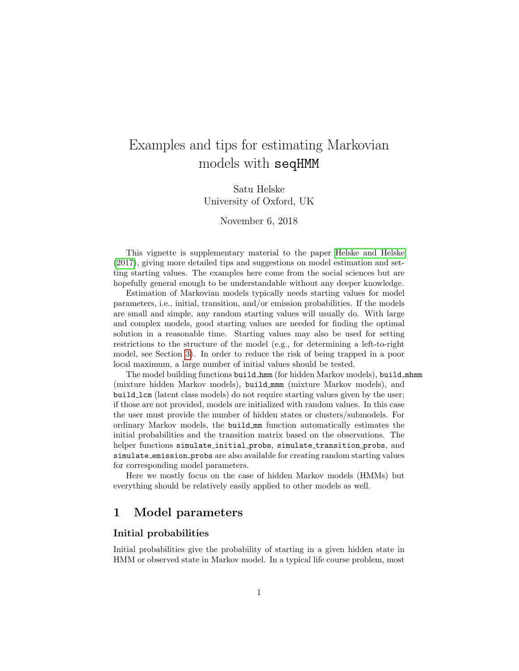# Examples and tips for estimating Markovian models with seqHMM

Satu Helske University of Oxford, UK

November 6, 2018

This vignette is supplementary material to the paper [Helske and Helske](#page-5-0) [\(2017\)](#page-5-0), giving more detailed tips and suggestions on model estimation and setting starting values. The examples here come from the social sciences but are hopefully general enough to be understandable without any deeper knowledge.

Estimation of Markovian models typically needs starting values for model parameters, i.e., initial, transition, and/or emission probabilities. If the models are small and simple, any random starting values will usually do. With large and complex models, good starting values are needed for finding the optimal solution in a reasonable time. Starting values may also be used for setting restrictions to the structure of the model (e.g., for determining a left-to-right model, see Section [3\)](#page-3-0). In order to reduce the risk of being trapped in a poor local maximum, a large number of initial values should be tested.

The model building functions build hmm (for hidden Markov models), build mhmm (mixture hidden Markov models), build mmm (mixture Markov models), and build lcm (latent class models) do not require starting values given by the user; if those are not provided, models are initialized with random values. In this case the user must provide the number of hidden states or clusters/submodels. For ordinary Markov models, the build mm function automatically estimates the initial probabilities and the transition matrix based on the observations. The helper functions simulate\_initial\_probs, simulate\_transition\_probs, and simulate emission probs are also available for creating random starting values for corresponding model parameters.

Here we mostly focus on the case of hidden Markov models (HMMs) but everything should be relatively easily applied to other models as well.

# 1 Model parameters

#### Initial probabilities

Initial probabilities give the probability of starting in a given hidden state in HMM or observed state in Markov model. In a typical life course problem, most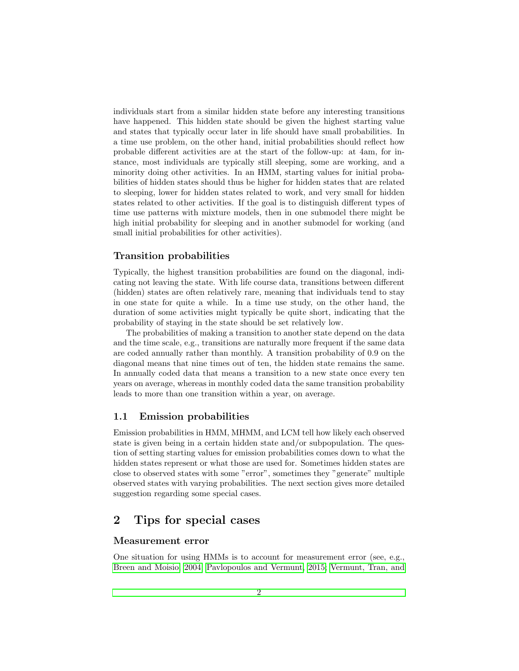individuals start from a similar hidden state before any interesting transitions have happened. This hidden state should be given the highest starting value and states that typically occur later in life should have small probabilities. In a time use problem, on the other hand, initial probabilities should reflect how probable different activities are at the start of the follow-up: at 4am, for instance, most individuals are typically still sleeping, some are working, and a minority doing other activities. In an HMM, starting values for initial probabilities of hidden states should thus be higher for hidden states that are related to sleeping, lower for hidden states related to work, and very small for hidden states related to other activities. If the goal is to distinguish different types of time use patterns with mixture models, then in one submodel there might be high initial probability for sleeping and in another submodel for working (and small initial probabilities for other activities).

## Transition probabilities

Typically, the highest transition probabilities are found on the diagonal, indicating not leaving the state. With life course data, transitions between different (hidden) states are often relatively rare, meaning that individuals tend to stay in one state for quite a while. In a time use study, on the other hand, the duration of some activities might typically be quite short, indicating that the probability of staying in the state should be set relatively low.

The probabilities of making a transition to another state depend on the data and the time scale, e.g., transitions are naturally more frequent if the same data are coded annually rather than monthly. A transition probability of 0.9 on the diagonal means that nine times out of ten, the hidden state remains the same. In annually coded data that means a transition to a new state once every ten years on average, whereas in monthly coded data the same transition probability leads to more than one transition within a year, on average.

## 1.1 Emission probabilities

Emission probabilities in HMM, MHMM, and LCM tell how likely each observed state is given being in a certain hidden state and/or subpopulation. The question of setting starting values for emission probabilities comes down to what the hidden states represent or what those are used for. Sometimes hidden states are close to observed states with some "error", sometimes they "generate" multiple observed states with varying probabilities. The next section gives more detailed suggestion regarding some special cases.

## 2 Tips for special cases

## Measurement error

One situation for using HMMs is to account for measurement error (see, e.g., [Breen and Moisio, 2004;](#page-5-1) [Pavlopoulos and Vermunt, 2015;](#page-6-0) [Vermunt, Tran, and](#page-6-1)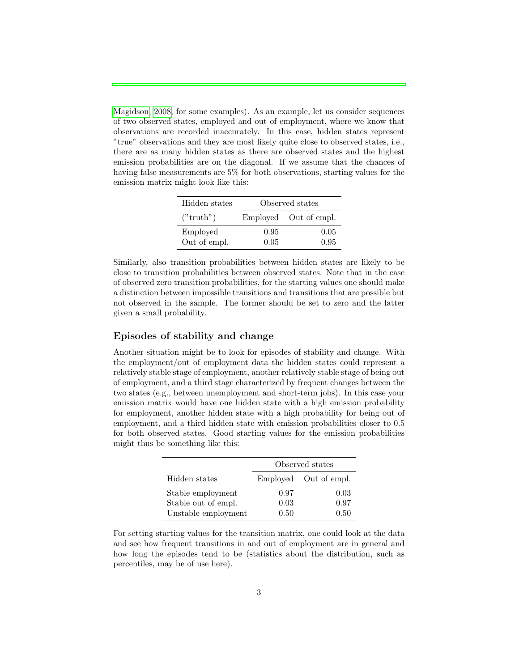[Magidson, 2008,](#page-6-1) for some examples). As an example, let us consider sequences of two observed states, employed and out of employment, where we know that observations are recorded inaccurately. In this case, hidden states represent "true" observations and they are most likely quite close to observed states, i.e., there are as many hidden states as there are observed states and the highest emission probabilities are on the diagonal. If we assume that the chances of having false measurements are 5% for both observations, starting values for the emission matrix might look like this:

| Hidden states | Observed states |                       |  |  |  |
|---------------|-----------------|-----------------------|--|--|--|
| ("truth")     |                 | Employed Out of empl. |  |  |  |
| Employed      | 0.95            | 0.05                  |  |  |  |
| Out of empl.  | 0.05            | 0.95                  |  |  |  |

Similarly, also transition probabilities between hidden states are likely to be close to transition probabilities between observed states. Note that in the case of observed zero transition probabilities, for the starting values one should make a distinction between impossible transitions and transitions that are possible but not observed in the sample. The former should be set to zero and the latter given a small probability.

## Episodes of stability and change

Another situation might be to look for episodes of stability and change. With the employment/out of employment data the hidden states could represent a relatively stable stage of employment, another relatively stable stage of being out of employment, and a third stage characterized by frequent changes between the two states (e.g., between unemployment and short-term jobs). In this case your emission matrix would have one hidden state with a high emission probability for employment, another hidden state with a high probability for being out of employment, and a third hidden state with emission probabilities closer to 0.5 for both observed states. Good starting values for the emission probabilities might thus be something like this:

|                     | Observed states |                       |  |  |  |
|---------------------|-----------------|-----------------------|--|--|--|
| Hidden states       |                 | Employed Out of empl. |  |  |  |
| Stable employment   | 0.97            | 0.03                  |  |  |  |
| Stable out of empl. | 0.03            | 0.97                  |  |  |  |
| Unstable employment | 0.50            | 0.50                  |  |  |  |

For setting starting values for the transition matrix, one could look at the data and see how frequent transitions in and out of employment are in general and how long the episodes tend to be (statistics about the distribution, such as percentiles, may be of use here).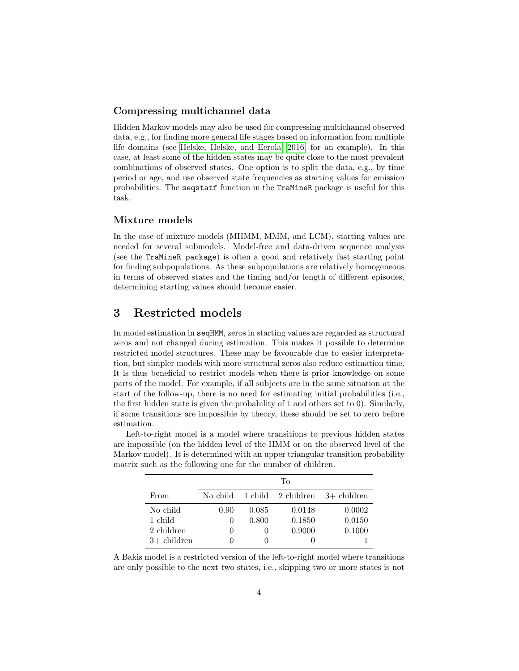## Compressing multichannel data

Hidden Markov models may also be used for compressing multichannel observed data, e.g., for finding more general life stages based on information from multiple life domains (see [Helske, Helske, and Eerola, 2016,](#page-6-2) for an example). In this case, at least some of the hidden states may be quite close to the most prevalent combinations of observed states. One option is to split the data, e.g., by time period or age, and use observed state frequencies as starting values for emission probabilities. The seqstatf function in the TraMineR package is useful for this task.

#### Mixture models

In the case of mixture models (MHMM, MMM, and LCM), starting values are needed for several submodels. Model-free and data-driven sequence analysis (see the TraMineR package) is often a good and relatively fast starting point for finding subpopulations. As these subpopulations are relatively homogeneous in terms of observed states and the timing and/or length of different episodes, determining starting values should become easier.

# <span id="page-3-0"></span>3 Restricted models

In model estimation in seqHMM, zeros in starting values are regarded as structural zeros and not changed during estimation. This makes it possible to determine restricted model structures. These may be favourable due to easier interpretation, but simpler models with more structural zeros also reduce estimation time. It is thus beneficial to restrict models when there is prior knowledge on some parts of the model. For example, if all subjects are in the same situation at the start of the follow-up, there is no need for estimating initial probabilities (i.e., the first hidden state is given the probability of 1 and others set to 0). Similarly, if some transitions are impossible by theory, these should be set to zero before estimation.

Left-to-right model is a model where transitions to previous hidden states are impossible (on the hidden level of the HMM or on the observed level of the Markov model). It is determined with an upper triangular transition probability matrix such as the following one for the number of children.

|               | Tо       |       |        |                                                             |  |  |
|---------------|----------|-------|--------|-------------------------------------------------------------|--|--|
| From          |          |       |        | No child $\alpha$ 1 child $\alpha$ 2 children $3+$ children |  |  |
| No child      | 0.90     | 0.085 | 0.0148 | 0.0002                                                      |  |  |
| 1 child       | $\cup$   | 0.800 | 0.1850 | 0.0150                                                      |  |  |
| 2 children    | $\theta$ |       | 0.9000 | 0.1000                                                      |  |  |
| $3+$ children | 0        |       |        |                                                             |  |  |

A Bakis model is a restricted version of the left-to-right model where transitions are only possible to the next two states, i.e., skipping two or more states is not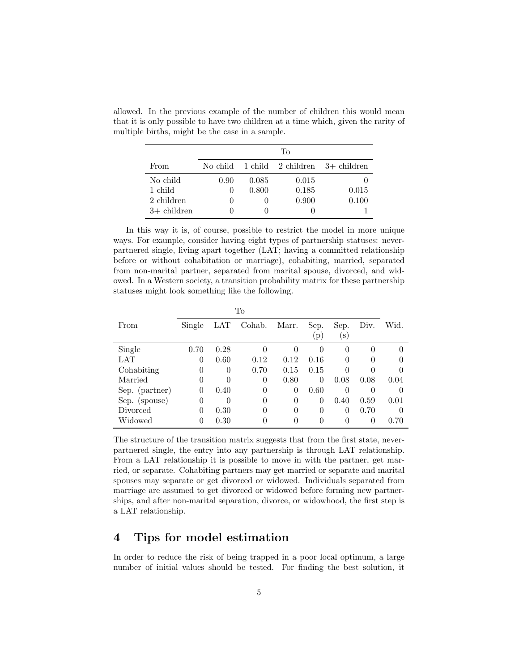|               | Tо           |       |       |                                                             |  |  |
|---------------|--------------|-------|-------|-------------------------------------------------------------|--|--|
| From          |              |       |       | No child $\alpha$ 1 child $\alpha$ 2 children $3+$ children |  |  |
| No child      | 0.90         | 0.085 | 0.015 |                                                             |  |  |
| 1 child       | $\mathbf{0}$ | 0.800 | 0.185 | 0.015                                                       |  |  |
| 2 children    | 0            |       | 0.900 | 0.100                                                       |  |  |
| $3+$ children |              |       |       |                                                             |  |  |

allowed. In the previous example of the number of children this would mean that it is only possible to have two children at a time which, given the rarity of multiple births, might be the case in a sample.

In this way it is, of course, possible to restrict the model in more unique ways. For example, consider having eight types of partnership statuses: neverpartnered single, living apart together (LAT; having a committed relationship before or without cohabitation or marriage), cohabiting, married, separated from non-marital partner, separated from marital spouse, divorced, and widowed. In a Western society, a transition probability matrix for these partnership statuses might look something like the following.

|                | To       |          |          |          |      |                |          |          |
|----------------|----------|----------|----------|----------|------|----------------|----------|----------|
| From           | Single   | LAT      | Cohab.   | Marr.    | Sep. | Sep.           | Div.     | Wid.     |
|                |          |          |          |          | (p)  | $(\mathbf{s})$ |          |          |
| Single         | 0.70     | 0.28     | $\Omega$ | $\Omega$ | 0    | $\overline{0}$ | $\theta$ | $\theta$ |
| LAT            | 0        | 0.60     | 0.12     | 0.12     | 0.16 | 0              | 0        | $\theta$ |
| Cohabiting     | $\theta$ | $\theta$ | 0.70     | 0.15     | 0.15 | 0              | 0        | $\Omega$ |
| Married        | 0        | 0        | $\theta$ | 0.80     | 0    | 0.08           | 0.08     | 0.04     |
| Sep. (partner) | $\theta$ | 0.40     | $\theta$ | $\theta$ | 0.60 | 0              | $\Omega$ | 0        |
| Sep. (spouse)  | 0        | 0        | $\theta$ | 0        | 0    | 0.40           | 0.59     | 0.01     |
| Divorced       | 0        | 0.30     | $\theta$ | $\Omega$ | 0    | 0              | 0.70     | $\Omega$ |
| Widowed        | 0        | 0.30     | 0        | 0        | 0    | 0              | $\theta$ | 0.70     |

The structure of the transition matrix suggests that from the first state, neverpartnered single, the entry into any partnership is through LAT relationship. From a LAT relationship it is possible to move in with the partner, get married, or separate. Cohabiting partners may get married or separate and marital spouses may separate or get divorced or widowed. Individuals separated from marriage are assumed to get divorced or widowed before forming new partnerships, and after non-marital separation, divorce, or widowhood, the first step is a LAT relationship.

# 4 Tips for model estimation

In order to reduce the risk of being trapped in a poor local optimum, a large number of initial values should be tested. For finding the best solution, it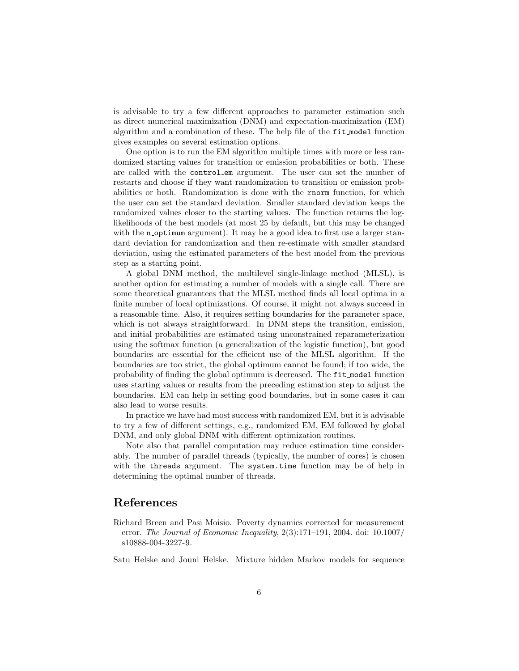is advisable to try a few different approaches to parameter estimation such as direct numerical maximization (DNM) and expectation-maximization (EM) algorithm and a combination of these. The help file of the fit model function gives examples on several estimation options.

One option is to run the EM algorithm multiple times with more or less randomized starting values for transition or emission probabilities or both. These are called with the control em argument. The user can set the number of restarts and choose if they want randomization to transition or emission probabilities or both. Randomization is done with the rnorm function, for which the user can set the standard deviation. Smaller standard deviation keeps the randomized values closer to the starting values. The function returns the loglikelihoods of the best models (at most 25 by default, but this may be changed with the noptimum argument). It may be a good idea to first use a larger standard deviation for randomization and then re-estimate with smaller standard deviation, using the estimated parameters of the best model from the previous step as a starting point.

A global DNM method, the multilevel single-linkage method (MLSL), is another option for estimating a number of models with a single call. There are some theoretical guarantees that the MLSL method finds all local optima in a finite number of local optimizations. Of course, it might not always succeed in a reasonable time. Also, it requires setting boundaries for the parameter space, which is not always straightforward. In DNM steps the transition, emission, and initial probabilities are estimated using unconstrained reparameterization using the softmax function (a generalization of the logistic function), but good boundaries are essential for the efficient use of the MLSL algorithm. If the boundaries are too strict, the global optimum cannot be found; if too wide, the probability of finding the global optimum is decreased. The fit model function uses starting values or results from the preceding estimation step to adjust the boundaries. EM can help in setting good boundaries, but in some cases it can also lead to worse results.

In practice we have had most success with randomized EM, but it is advisable to try a few of different settings, e.g., randomized EM, EM followed by global DNM, and only global DNM with different optimization routines.

Note also that parallel computation may reduce estimation time considerably. The number of parallel threads (typically, the number of cores) is chosen with the threads argument. The system.time function may be of help in determining the optimal number of threads.

# References

<span id="page-5-1"></span>Richard Breen and Pasi Moisio. Poverty dynamics corrected for measurement error. The Journal of Economic Inequality, 2(3):171–191, 2004. doi: 10.1007/ s10888-004-3227-9.

<span id="page-5-0"></span>Satu Helske and Jouni Helske. Mixture hidden Markov models for sequence